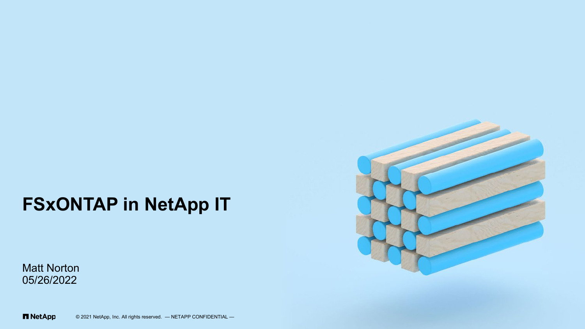### **FSxONTAP in NetApp IT**

Matt Norton 05/26/2022



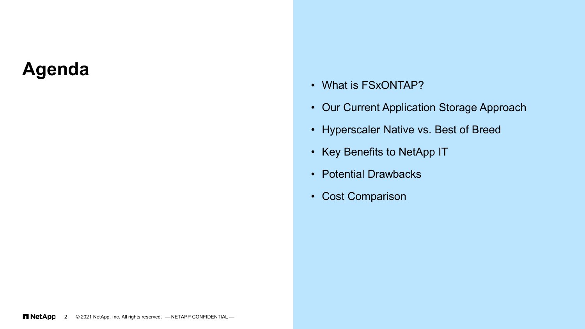### **Agenda**

- What is FSxONTAP?
- Our Current Application Storage Approach
- Hyperscaler Native vs. Best of Breed
- Key Benefits to NetApp IT
- Potential Drawbacks
- Cost Comparison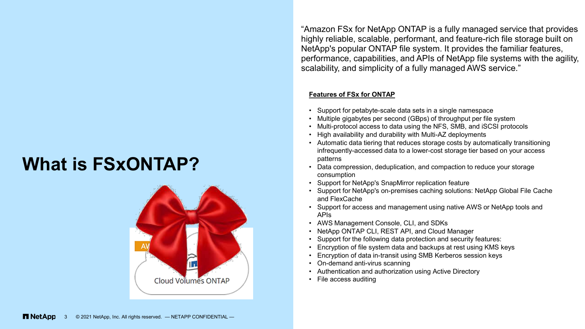## **What is FSxONTAP?**



"Amazon FSx for NetApp ONTAP is a fully managed service that provides highly reliable, scalable, performant, and feature-rich file storage built on NetApp's popular ONTAP file system. It provides the familiar features, performance, capabilities, and APIs of NetApp file systems with the agility, scalability, and simplicity of a fully managed AWS service."

#### **Features of FSx for ONTAP**

- Support for petabyte-scale data sets in a single namespace
- Multiple gigabytes per second (GBps) of throughput per file system
- Multi-protocol access to data using the NFS, SMB, and iSCSI protocols
- High availability and durability with Multi-AZ deployments
- Automatic data tiering that reduces storage costs by automatically transitioning infrequently-accessed data to a lower-cost storage tier based on your access patterns
- Data compression, deduplication, and compaction to reduce your storage consumption
- Support for NetApp's SnapMirror replication feature
- Support for NetApp's on-premises caching solutions: NetApp Global File Cache and FlexCache
- Support for access and management using native AWS or NetApp tools and APIs
- AWS Management Console, CLI, and SDKs
- NetApp ONTAP CLI, REST API, and Cloud Manager
- Support for the following data protection and security features:
- Encryption of file system data and backups at rest using KMS keys
- Encryption of data in-transit using SMB Kerberos session keys
- On-demand anti-virus scanning
- Authentication and authorization using Active Directory
- File access auditing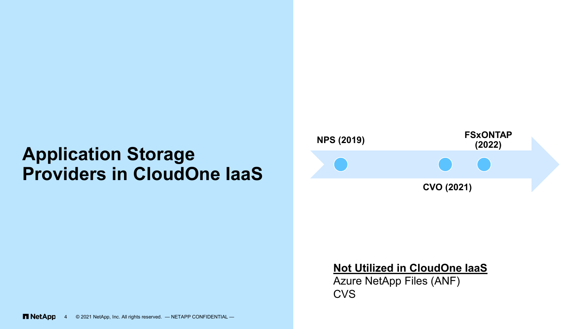## **Application Storage Providers in CloudOne IaaS**



### **Not Utilized in CloudOne IaaS**

Azure NetApp Files (ANF) CVS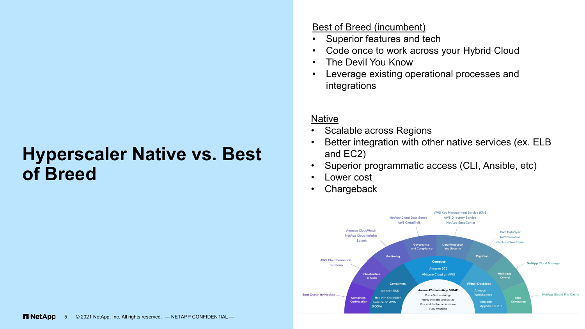### **Hyperscaler Native vs. Best of Breed**

#### Best of Breed (incumbent)

- Superior features and tech
- Code once to work across your Hybrid Cloud
- The Devil You Know
- Leverage existing operational processes and integrations

#### **Native**

- Scalable across Regions
- Better integration with other native services (ex. ELB and EC2)
- Superior programmatic access (CLI, Ansible, etc)
- Lower cost
- **Chargeback**

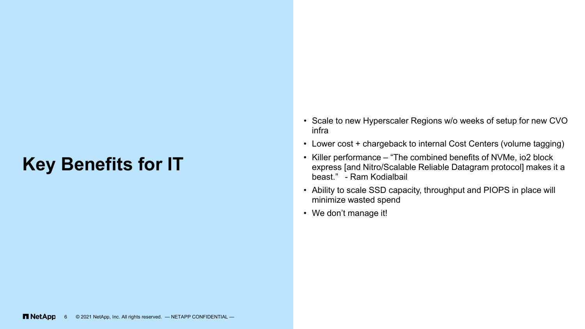### **Key Benefits for IT**

- Scale to new Hyperscaler Regions w/o weeks of setup for new CVO infra
- Lower cost + chargeback to internal Cost Centers (volume tagging)
- Killer performance "The combined benefits of NVMe, io2 block express [and Nitro/Scalable Reliable Datagram protocol] makes it a beast." - Ram Kodialbail
- Ability to scale SSD capacity, throughput and PIOPS in place will minimize wasted spend
- We don't manage it!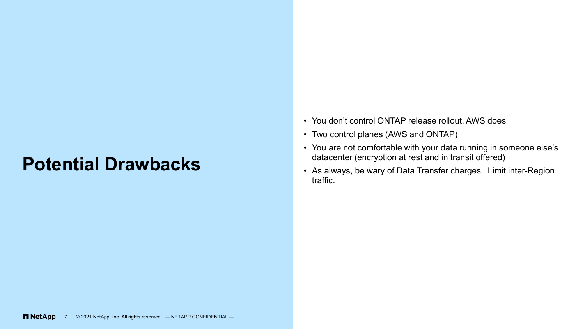### **Potential Drawbacks**

- You don't control ONTAP release rollout, AWS does
- Two control planes (AWS and ONTAP)
- You are not comfortable with your data running in someone else's datacenter (encryption at rest and in transit offered)
- As always, be wary of Data Transfer charges. Limit inter-Region traffic.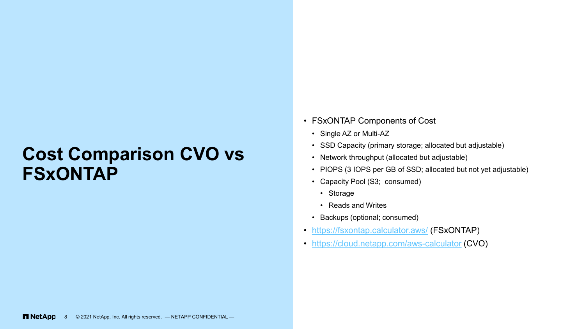### **Cost Comparison CVO vs FSxONTAP**

- FSxONTAP Components of Cost
	- Single AZ or Multi-AZ
	- SSD Capacity (primary storage; allocated but adjustable)
	- Network throughput (allocated but adjustable)
	- PIOPS (3 IOPS per GB of SSD; allocated but not yet adjustable)
	- Capacity Pool (S3; consumed)
		- Storage
		- Reads and Writes
	- Backups (optional; consumed)
- <https://fsxontap.calculator.aws/> (FSxONTAP)
- <https://cloud.netapp.com/aws-calculator> (CVO)